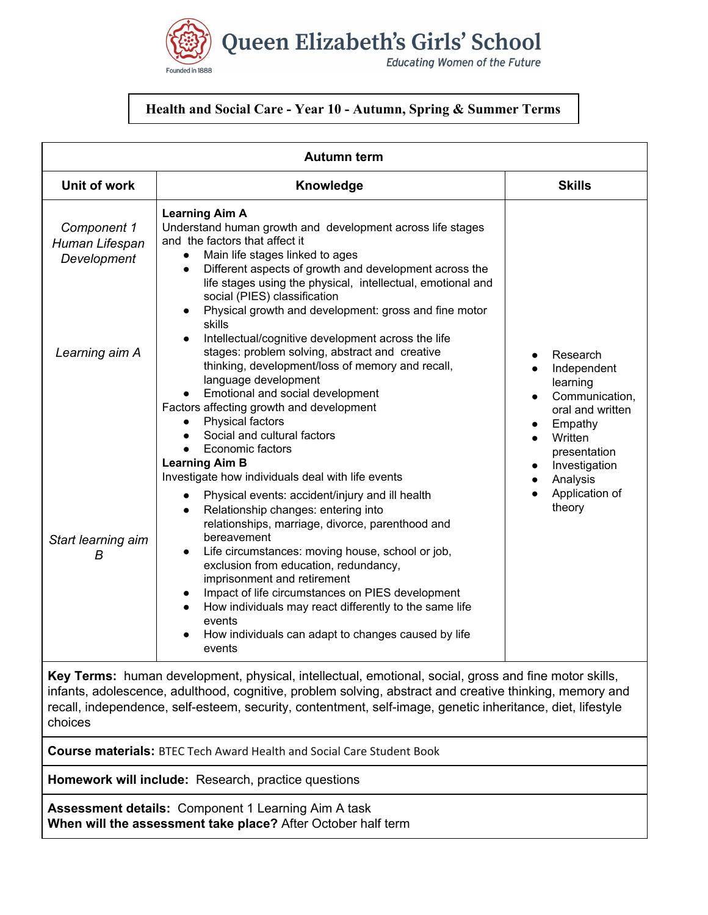

## **Health and Social Care - Year 10 - Autumn, Spring & Summer Terms**

| <b>Autumn term</b>                                                                                                                                                                                                                                                                                                                        |                                                                                                                                                                                                                                                                                                                                                                                                                                                                                                                                                                                               |                                                                                                 |  |  |
|-------------------------------------------------------------------------------------------------------------------------------------------------------------------------------------------------------------------------------------------------------------------------------------------------------------------------------------------|-----------------------------------------------------------------------------------------------------------------------------------------------------------------------------------------------------------------------------------------------------------------------------------------------------------------------------------------------------------------------------------------------------------------------------------------------------------------------------------------------------------------------------------------------------------------------------------------------|-------------------------------------------------------------------------------------------------|--|--|
| <b>Unit of work</b>                                                                                                                                                                                                                                                                                                                       | Knowledge                                                                                                                                                                                                                                                                                                                                                                                                                                                                                                                                                                                     | <b>Skills</b>                                                                                   |  |  |
| Component 1<br>Human Lifespan<br>Development                                                                                                                                                                                                                                                                                              | <b>Learning Aim A</b><br>Understand human growth and development across life stages<br>and the factors that affect it<br>Main life stages linked to ages<br>$\bullet$<br>Different aspects of growth and development across the<br>$\bullet$<br>life stages using the physical, intellectual, emotional and<br>social (PIES) classification<br>Physical growth and development: gross and fine motor                                                                                                                                                                                          |                                                                                                 |  |  |
| Learning aim A                                                                                                                                                                                                                                                                                                                            | skills<br>Intellectual/cognitive development across the life<br>stages: problem solving, abstract and creative<br>thinking, development/loss of memory and recall,<br>language development<br>Emotional and social development<br>Factors affecting growth and development<br>Physical factors<br>Social and cultural factors                                                                                                                                                                                                                                                                 | Research<br>Independent<br>learning<br>Communication,<br>oral and written<br>Empathy<br>Written |  |  |
| Start learning aim<br>B                                                                                                                                                                                                                                                                                                                   | Economic factors<br><b>Learning Aim B</b><br>Investigate how individuals deal with life events<br>Physical events: accident/injury and ill health<br>Relationship changes: entering into<br>relationships, marriage, divorce, parenthood and<br>bereavement<br>Life circumstances: moving house, school or job,<br>$\bullet$<br>exclusion from education, redundancy,<br>imprisonment and retirement<br>Impact of life circumstances on PIES development<br>How individuals may react differently to the same life<br>events<br>How individuals can adapt to changes caused by life<br>events | presentation<br>Investigation<br>Analysis<br>Application of<br>theory                           |  |  |
| Key Terms: human development, physical, intellectual, emotional, social, gross and fine motor skills,<br>infants, adolescence, adulthood, cognitive, problem solving, abstract and creative thinking, memory and<br>recall, independence, self-esteem, security, contentment, self-image, genetic inheritance, diet, lifestyle<br>choices |                                                                                                                                                                                                                                                                                                                                                                                                                                                                                                                                                                                               |                                                                                                 |  |  |
| <b>Course materials:</b> BTEC Tech Award Health and Social Care Student Book                                                                                                                                                                                                                                                              |                                                                                                                                                                                                                                                                                                                                                                                                                                                                                                                                                                                               |                                                                                                 |  |  |
| Homework will include: Research, practice questions                                                                                                                                                                                                                                                                                       |                                                                                                                                                                                                                                                                                                                                                                                                                                                                                                                                                                                               |                                                                                                 |  |  |

**Assessment details:** Component 1 Learning Aim A task **When will the assessment take place?** After October half term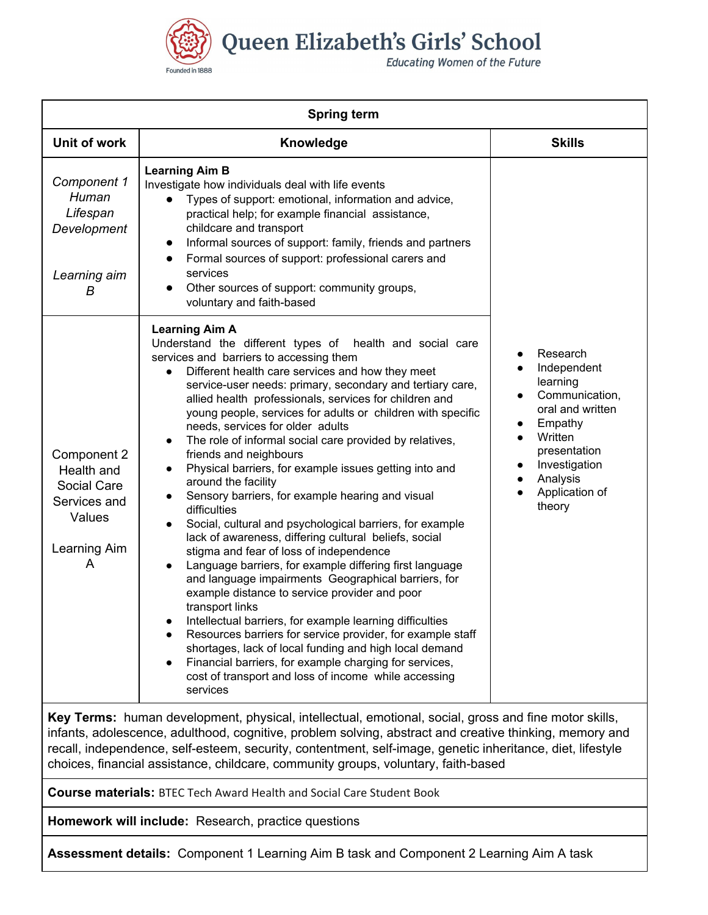

Queen Elizabeth's Girls' School

**Educating Women of the Future** 

| <b>Spring term</b>                                                                                                                                                                                         |                                                                                                                                                                                                                                                                                                                                                                                                                                                                                                                                                                                                                                                                                                                                                                                                                                                                                                                                                                                                                                                                                                                                                                                                                                                                                                                              |                                                                                                                                                                                                    |  |  |
|------------------------------------------------------------------------------------------------------------------------------------------------------------------------------------------------------------|------------------------------------------------------------------------------------------------------------------------------------------------------------------------------------------------------------------------------------------------------------------------------------------------------------------------------------------------------------------------------------------------------------------------------------------------------------------------------------------------------------------------------------------------------------------------------------------------------------------------------------------------------------------------------------------------------------------------------------------------------------------------------------------------------------------------------------------------------------------------------------------------------------------------------------------------------------------------------------------------------------------------------------------------------------------------------------------------------------------------------------------------------------------------------------------------------------------------------------------------------------------------------------------------------------------------------|----------------------------------------------------------------------------------------------------------------------------------------------------------------------------------------------------|--|--|
| Unit of work                                                                                                                                                                                               | Knowledge                                                                                                                                                                                                                                                                                                                                                                                                                                                                                                                                                                                                                                                                                                                                                                                                                                                                                                                                                                                                                                                                                                                                                                                                                                                                                                                    | <b>Skills</b>                                                                                                                                                                                      |  |  |
| Component 1<br>Human<br>Lifespan<br>Development<br>Learning aim<br>В                                                                                                                                       | <b>Learning Aim B</b><br>Investigate how individuals deal with life events<br>Types of support: emotional, information and advice,<br>$\bullet$<br>practical help; for example financial assistance,<br>childcare and transport<br>Informal sources of support: family, friends and partners<br>$\bullet$<br>Formal sources of support: professional carers and<br>$\bullet$<br>services<br>Other sources of support: community groups,<br>voluntary and faith-based                                                                                                                                                                                                                                                                                                                                                                                                                                                                                                                                                                                                                                                                                                                                                                                                                                                         | Research<br>Independent<br>learning<br>Communication,<br>oral and written<br>Empathy<br>Written<br>presentation<br>Investigation<br>$\bullet$<br>Analysis<br>$\bullet$<br>Application of<br>theory |  |  |
| Component 2<br>Health and<br>Social Care<br>Services and<br>Values<br>Learning Aim<br>A                                                                                                                    | <b>Learning Aim A</b><br>Understand the different types of health and social care<br>services and barriers to accessing them<br>Different health care services and how they meet<br>service-user needs: primary, secondary and tertiary care,<br>allied health professionals, services for children and<br>young people, services for adults or children with specific<br>needs, services for older adults<br>The role of informal social care provided by relatives,<br>friends and neighbours<br>Physical barriers, for example issues getting into and<br>around the facility<br>Sensory barriers, for example hearing and visual<br>difficulties<br>Social, cultural and psychological barriers, for example<br>lack of awareness, differing cultural beliefs, social<br>stigma and fear of loss of independence<br>Language barriers, for example differing first language<br>and language impairments Geographical barriers, for<br>example distance to service provider and poor<br>transport links<br>Intellectual barriers, for example learning difficulties<br>Resources barriers for service provider, for example staff<br>shortages, lack of local funding and high local demand<br>Financial barriers, for example charging for services,<br>cost of transport and loss of income while accessing<br>services |                                                                                                                                                                                                    |  |  |
| Key Terms: human development, physical, intellectual, emotional, social, gross and fine motor skills,<br>inforte adelescopes adulthood cognitive problem solving abetract and creative thinking memory and |                                                                                                                                                                                                                                                                                                                                                                                                                                                                                                                                                                                                                                                                                                                                                                                                                                                                                                                                                                                                                                                                                                                                                                                                                                                                                                                              |                                                                                                                                                                                                    |  |  |

infants, adolescence, adulthood, cognitive, problem solving, abstract and creative thinking, memory and recall, independence, self-esteem, security, contentment, self-image, genetic inheritance, diet, lifestyle choices, financial assistance, childcare, community groups, voluntary, faith-based

**Course materials:** BTEC Tech Award Health and Social Care Student Book

**Homework will include:** Research, practice questions

**Assessment details:** Component 1 Learning Aim B task and Component 2 Learning Aim A task